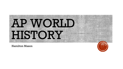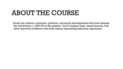#### ABOUT THE COURSE

▪ Study the cultural, economic, political, and social developments that have shaped the world from c. 1200 CE to the present. You'll analyze texts, visual sources, and other historical evidence and write essays expressing historical arguments.

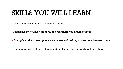#### SKILLS YOU WILL LEARN

▪ Evaluating primary and secondary sources

▪ Analyzing the claims, evidence, and reasoning you find in sources

▪ Putting historical developments in context and making connections between them

▪ Coming up with a claim or thesis and explaining and supporting it in writing

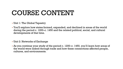- Unit 1: The Global Tapestry
- You'll explore how states formed, expanded, and declined in areas of the world during the period c. 1200–c. 1450 and the related political, social, and cultural developments of that time.
- Unit 2: Networks of Exchange
- As you continue your study of the period c. 1200–c. 1450, you'll learn how areas of the world were linked through trade and how these connections affected people, cultures, and environments.

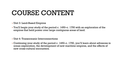- Unit 3: Land-Based Empires
- You'll begin your study of the period c. 1450–c. 1750 with an exploration of the empires that held power over large contiguous areas of land.
- Unit 4: Transoceanic Interconnections
- Continuing your study of the period c. 1450–c. 1750, you'll learn about advances in ocean exploration, the development of new maritime empires, and the effects of new cross-cultural encounters.

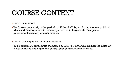#### ▪ Unit 5: Revolutions

- You'll start your study of the period c. 1750–c. 1900 by exploring the new political ideas and developments in technology that led to large-scale changes in governments, society, and economies.
- Unit 6: Consequences of Industrialization
- You'll continue to investigate the period c. 1750–c. 1900 and learn how the different states acquired and expanded control over colonies and territories.

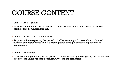- Unit 7: Global Conflict
- You'll begin your study of the period c. 1900–present by learning about the global conflicts that dominated this era.
- Unit 8: Cold War and Decolonization
- As you continue exploring the period c. 1900–present, you'll learn about colonies' pursuits of independence and the global power struggle between capitalism and communism.
- Unit 9: Globalization
- You'll continue your study of the period c. 1900–present by investigating the causes and effects of the unprecedented connectivity of the modern world.

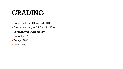## GRADING

- Homework and Classwork: 10%
- Castle Learning and Albert.io: 15%
- Short Answer Quizzes: 15%
- Projects: 15%
- $\blacksquare$  Essays: 20%
- $\cdot$  Tests: 25%

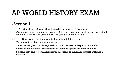# AP WORLD HISTORY EXAM

#### ▪Section 1

**• Part A: 55 Multiple Choice Questions (55 minutes, 40% of exam)** 

- Questions typically appear in groups of 3 to 4 questions, each with one or more stimuli, including primary texts, secondary texts, images, charts, or maps
- **Part B: Short Answer Questions (40 minutes, 20% of exam)** 
	- **Three required short answer questions**
	- Short answer question 1 is required and includes a secondary source stimulus.
	- **Short answer question 2 is required and includes a primary source stimulus**
	- Students may select from short answer question 3 or 4, neither of which includes a stimulus

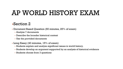## AP WORLD HISTORY EXAM

#### ▪Section 2

▪ Document Based Question (60 minutes, 25% of exam)

- Analyze 7 documents
- Describe the broader historical context
- Use the provided documents
- Long Essay (40 minutes, 15% of exam)
	- Students explain and analyze significant issues in world history.
	- Students develop an argument supported by an analysis of historical evidence
	- Students choose from 3 questions